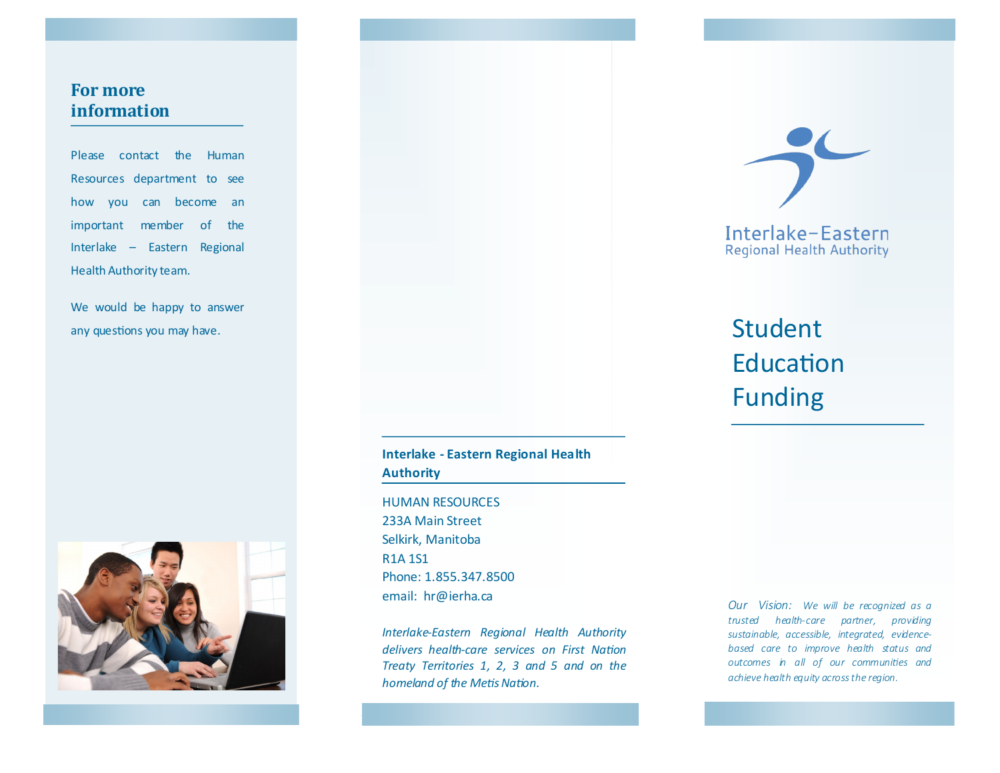## **For more information**

Please contact the Human Resources department to see how you can become an important member of the Interlake – Eastern Regional Health Authority team.

We would be happy to answer any questions you may have.



**Interlake - Eastern Regional Health Authority**

HUMAN RESOURCES 233A Main Street Selkirk, Manitoba R1A 1S1 Phone: 1.855.347.8500 email: hr@ierha.ca

*Interlake-Eastern Regional Health Authority delivers health-care services on First Nation Treaty Territories 1, 2, 3 and 5 and on the homeland of the Metis Nation.*

*Our Vision: We will be recognized as a trusted health-care partner, providing sustainable, accessible, integrated, evidencebased care to improve health status and outcomes in all of our communities and achieve health equity across the region.*



# Student Education Funding